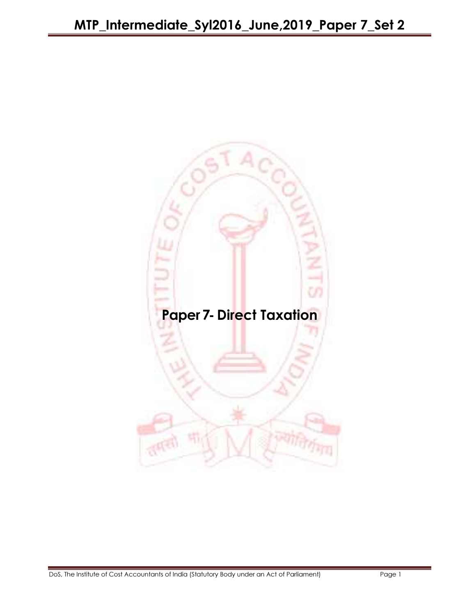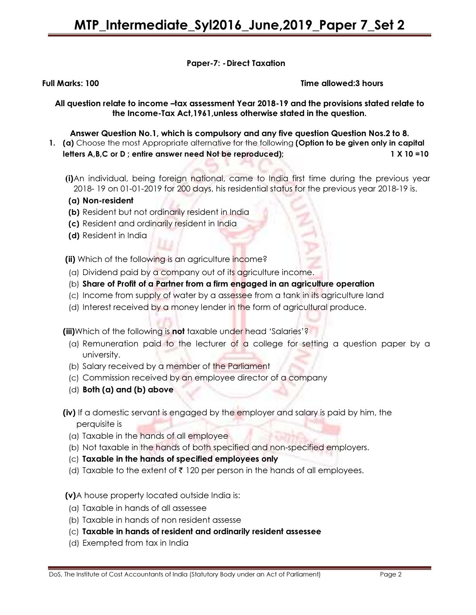## Paper-7: - Direct Taxation

Full Marks: 100 Time allowed:3 hours

All question relate to income -tax assessment Year 2018-19 and the provisions stated relate to the Income-Tax Act,1961,unless otherwise stated in the question.

### Answer Question No.1, which is compulsory and any five question Question Nos.2 to 8.

- 1. (a) Choose the most Appropriate alternative for the following (Option to be given only in capital letters A,B,C or D; entire answer need Not be reproduced); 1 X 10 =10
	- (i)An individual, being foreign national, came to India first time during the previous year 2018- 19 on 01-01-2019 for 200 days, his residential status for the previous year 2018-19 is.
	- (a) Non-resident
	- (b) Resident but not ordinarily resident in India
	- (c) Resident and ordinarily resident in India
	- (d) Resident in India

(ii) Which of the following is an agriculture income?

- (a) Dividend paid by a company out of its agriculture income.
- (b) Share of Profit of a Partner from a firm engaged in an agriculture operation
- (c) Income from supply of water by a assessee from a tank in its agriculture land
- (d) Interest received by a money lender in the form of agricultural produce.

(iii)Which of the following is not taxable under head 'Salaries'?

- (a) Remuneration paid to the lecturer of a college for setting a question paper by a university.
- (b) Salary received by a member of the Parliament
- (c) Commission received by an employee director of a company
- (d) Both (a) and (b) above
- (iv) If a domestic servant is engaged by the employer and salary is paid by him, the perquisite is
	- (a) Taxable in the hands of all employee
	- (b) Not taxable in the hands of both specified and non-specified employers.
	- (c) Taxable in the hands of specified employees only
	- (d) Taxable to the extent of  $\bar{\tau}$  120 per person in the hands of all employees.

#### (v)A house property located outside India is:

- (a) Taxable in hands of all assessee
- (b) Taxable in hands of non resident assesse
- (c) Taxable in hands of resident and ordinarily resident assessee
- (d) Exempted from tax in India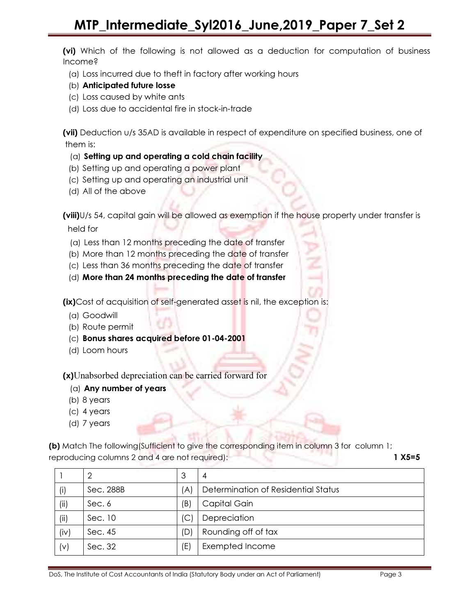(vi) Which of the following is not allowed as a deduction for computation of business Income?

- (a) Loss incurred due to theft in factory after working hours
- (b) Anticipated future losse
- (c) Loss caused by white ants
- (d) Loss due to accidental fire in stock-in-trade

(vii) Deduction u/s 35AD is available in respect of expenditure on specified business, one of them is:

## (a) Setting up and operating a cold chain facility

- (b) Setting up and operating a power plant
- (c) Setting up and operating an industrial unit
- (d) All of the above

(viii)U/s 54, capital gain will be allowed as exemption if the house property under transfer is held for

- (a) Less than 12 months preceding the date of transfer
- (b) More than 12 months preceding the date of transfer
- (c) Less than 36 months preceding the date of transfer
- (d) More than 24 months preceding the date of transfer

(ix)Cost of acquisition of self-generated asset is nil, the exception is:

- (a) Goodwill
- (b) Route permit
- (c) Bonus shares acquired before 01-04-2001
- (d) Loom hours

(x)Unabsorbed depreciation can be carried forward for

- (a) Any number of years
- (b) 8 years
- (c) 4 years
- (d) 7 years

(b) Match The following(Sufficient to give the corresponding item in column 3 for column 1; reproducing columns 2 and 4 are not required): 1 X5=5

|      | 2         | 3   | 4                                   |
|------|-----------|-----|-------------------------------------|
|      | Sec. 288B | (A) | Determination of Residential Status |
| (ii) | Sec. 6    | (B) | Capital Gain                        |
| (ii) | Sec. 10   | (C) | Depreciation                        |
| (iv) | Sec. 45   | (D) | Rounding off of tax                 |
| (v)  | Sec. 32   | (E) | Exempted Income                     |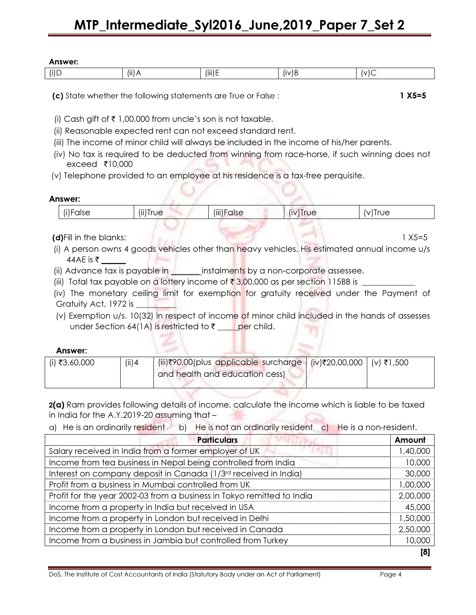# MTP\_Intermediate\_Syl2016\_June,2019\_Paper 7\_Set 2

| iswer:<br>,, ,<br><i>r</i> ue |          |                    |                                |  |
|-------------------------------|----------|--------------------|--------------------------------|--|
| $\cdots$<br>Π                 | $(ii)$ A | $\cdots$<br>(III)E | $\cdot$ .<br>$\mathbf{u}$<br>╺ |  |

(c) State whether the following statements are True or False :  $1 X5=5$ 

(i) Cash gift of  $\bar{\tau}$  1,00,000 from uncle's son is not taxable.

(ii) Reasonable expected rent can not exceed standard rent.

- (iii) The income of minor child will always be included in the income of his/her parents.
- (iv) No tax is required to be deducted from winning from race-horse, if such winning does not exceed  $\bar{\tau}$ 10,000
- (v) Telephone provided to an employee at his residence is a tax-free perquisite.

### Answer:

| (i)False | $\cdots$<br>$(II)$ Irue | $\cdots$<br>$(III)$ h<br>calse | $\cdots$<br>$\cup$<br>- 11 | , Irue<br>v |
|----------|-------------------------|--------------------------------|----------------------------|-------------|
|          |                         |                                |                            |             |

## (d)Fill in the blanks: 1 X5=5

 (i) A person owns 4 goods vehicles other than heavy vehicles. His estimated annual income u/s 44AE is ₹

(ii) Advance tax is payable in **instruments by a non-corporate assessee.** 

(iii) Total tax payable on a lottery income of ` 3,00,000 as per section 115BB is \_\_\_\_\_\_\_\_\_\_\_\_\_

 (iv) The monetary ceiling limit for exemption for gratuity received under the Payment of Gratuity Act, 1972 is \_\_\_\_\_\_\_\_\_\_

 (v) Exemption u/s. 10(32) in respect of income of minor child included in the hands of assesses under Section 64(1A) is restricted to  $\bar{\tau}$  \_\_\_\_per child.

## Answer:

| (i) ₹3,60,000 | $(iii)$ 4 | (iii)₹90,00(plus applicable surcharge (iv)₹20,00,000 (v)₹1,500 |  |
|---------------|-----------|----------------------------------------------------------------|--|
|               |           | and health and education cess)                                 |  |
|               |           |                                                                |  |

2(a) Ram provides following details of income, calculate the income which is liable to be taxed in India for the A.Y.2019-20 assuming that –

a) He is an ordinarily resident b) He is not an ordinarily resident c) He is a non-resident.

| <b>Particulars</b>                                                     | Amount   |
|------------------------------------------------------------------------|----------|
| Salary received in India from a former employer of UK                  | 1,40,000 |
| Income from tea business in Nepal being controlled from India          | 10,000   |
| Interest on company deposit in Canada (1/3rd received in India)        | 30,000   |
| Profit from a business in Mumbai controlled from UK                    | 1,00,000 |
| Profit for the year 2002-03 from a business in Tokyo remitted to India | 2,00,000 |
| Income from a property in India but received in USA                    | 45,000   |
| Income from a property in London but received in Delhi                 | 1,50,000 |
| Income from a property in London but received in Canada                | 2,50,000 |
| Income from a business in Jambia but controlled from Turkey            | 10,000   |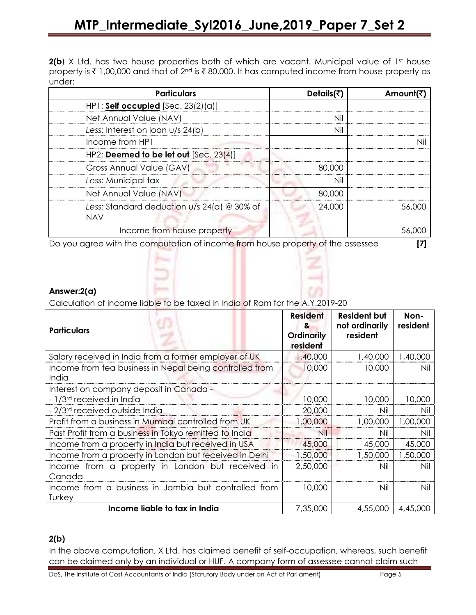$2(b)$  X Ltd. has two house properties both of which are vacant. Municipal value of 1st house property is  $\bar{\tau}$  1,00,000 and that of 2<sup>nd</sup> is  $\bar{\tau}$  80,000. It has computed income from house property as under:

| <b>Particulars</b>                          | Details(₹) | Amount(₹ |
|---------------------------------------------|------------|----------|
| $HP1:$ Self occupied [Sec. 23(2)(a)]        |            |          |
| Net Annual Value (NAV)                      | Nil        |          |
| Less: Interest on loan u/s 24(b)            | Nil        |          |
| Income from HP1                             |            |          |
| HP2: Deemed to be let out [Sec. 23(4)]      |            |          |
| Gross Annual Value (GAV)                    | 80,000     |          |
| Less: Municipal tax                         | Nil        |          |
| Net Annual Value (NAV)                      | 80,000     |          |
| Less: Standard deduction u/s 24(a) @ 30% of | 24,000     | 56.000   |
| <b>NAV</b>                                  |            |          |
| Income from house property                  |            |          |

Do you agree with the computation of income from house property of the assessee [7]

## Answer:2(a)

Calculation of income liable to be taxed in India of Ram for the A.Y.2019-20

| <b>Particulars</b>                                               | <b>Resident</b><br>&<br><b>Ordinarily</b><br>resident | <b>Resident but</b><br>not ordinarily<br>resident | Non-<br>resident |
|------------------------------------------------------------------|-------------------------------------------------------|---------------------------------------------------|------------------|
| Salary received in India from a former employer of UK            | 1,40,000                                              | 1,40,000                                          | 1,40,000         |
| Income from tea business in Nepal being controlled from<br>India | 10,000                                                | 10,000                                            | Nil              |
| Interest on company deposit in Canada -                          |                                                       |                                                   |                  |
| - 1/3 <sup>rd</sup> received in India                            | 10,000                                                | 10,000                                            | 10,000           |
| - 2/3 <sup>rd</sup> received outside India                       | 20,000                                                | Nil                                               | Nil              |
| Profit from a business in Mumbai controlled from UK              | 1,00,000                                              | 1,00,000                                          | 1,00,000         |
| Past Profit from a business in Tokyo remitted to India           | Nil                                                   | Nil                                               | Nil              |
| Income from a property in India but received in USA              | 45,000                                                | 45,000                                            | 45,000           |
| Income from a property in London but received in Delhi           | 1,50,000                                              | 1,50,000                                          | 1,50,000         |
| Income from a property in London but received in<br>Canada       | 2,50,000                                              | Nil                                               | Nil              |
| Income from a business in Jambia but controlled from<br>Turkey   | 10,000                                                | Nil                                               | Nil              |
| Income liable to tax in India                                    | 7,35,000                                              | 4,55,000                                          | 4,45,000         |

## 2(b)

In the above computation, X Ltd. has claimed benefit of self-occupation, whereas, such benefit can be claimed only by an individual or HUF. A company form of assessee cannot claim such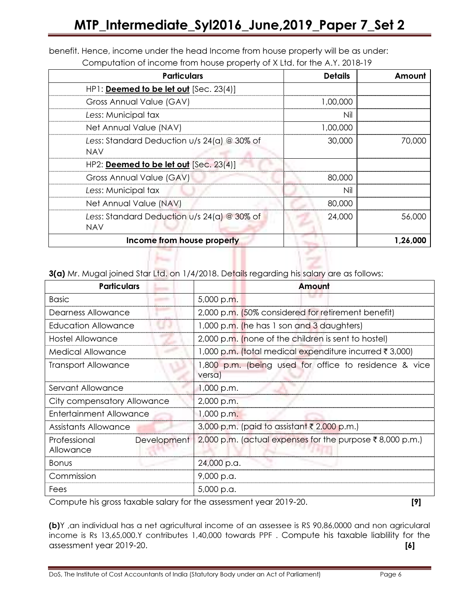| <b>Particulars</b>                            | <b>Details</b> | Amount   |
|-----------------------------------------------|----------------|----------|
| HP1: Deemed to be let out [Sec. 23(4)]        |                |          |
| Gross Annual Value (GAV)                      | 1.00.000       |          |
| Less: Municipal tax                           | Nil            |          |
| Net Annual Value (NAV)                        | 1,00,000       |          |
| Less: Standard Deduction $u/s$ 24(a) @ 30% of | 30,000         | 70,000   |
| <b>NAV</b>                                    |                |          |
| HP2: Deemed to be let out [Sec. 23(4)]        |                |          |
| Gross Annual Value (GAV)                      | 80,000         |          |
| Less: Municipal tax                           | Nil            |          |
| Net Annual Value (NAV)                        | 80,000         |          |
| Less: Standard Deduction U/s 24(a) @ 30% of   | 24,000         | 56,000   |
| <b>NAV</b>                                    |                |          |
| Income from house property                    |                | 1,26,000 |

benefit. Hence, income under the head Income from house property will be as under:

Computation of income from house property of X Ltd. for the A.Y. 2018-19

3(a) Mr. Mugal joined Star Ltd. on 1/4/2018. Details regarding his salary are as follows:

| <b>Particulars</b>                       | Amount                                                          |  |
|------------------------------------------|-----------------------------------------------------------------|--|
| <b>Basic</b>                             | 5,000 p.m.                                                      |  |
| Dearness Allowance                       | 2,000 p.m. (50% considered for retirement benefit)              |  |
| <b>Education Allowance</b>               | 1,000 p.m. (he has 1 son and 3 daughters)                       |  |
| <b>Hostel Allowance</b>                  | 2,000 p.m. (none of the children is sent to hostel)             |  |
| Medical Allowance                        | 1,000 p.m. (total medical expenditure incurred ₹ 3,000)         |  |
| <b>Transport Allowance</b>               | 1,800 p.m. (being used for office to residence & vice<br>versa) |  |
| Servant Allowance                        | $1,000$ p.m.                                                    |  |
| City compensatory Allowance              | 2,000 p.m.                                                      |  |
| Entertainment Allowance                  | 1,000 p.m.                                                      |  |
| <b>Assistants Allowance</b>              | 3,000 p.m. (paid to assistant ₹ 2,000 p.m.)                     |  |
| Development<br>Professional<br>Allowance | 2,000 p.m. (actual expenses for the purpose ₹8,000 p.m.)        |  |
| <b>Bonus</b>                             | 24,000 p.a.                                                     |  |
| Commission                               | 9,000 p.a.                                                      |  |
| Fees                                     | 5,000 p.a.                                                      |  |

Compute his gross taxable salary for the assessment year 2019-20. [9]

(b)Y ,an individual has a net agricultural income of an assessee is RS 90,86,0000 and non agricularal income is Rs 13,65,000.Y contributes 1,40,000 towards PPF . Compute his taxable liablility for the assessment year 2019-20. [6]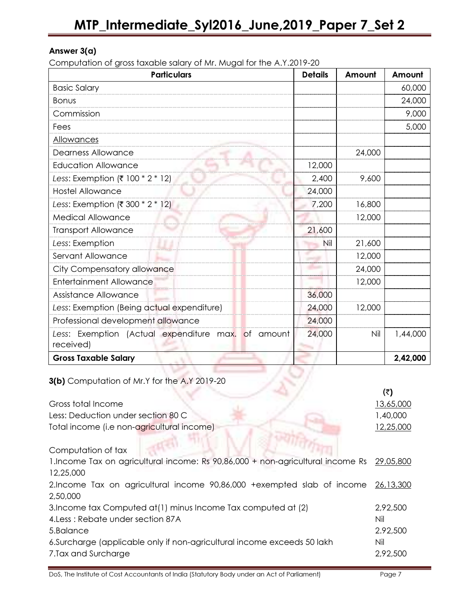# Answer 3(a)

Computation of gross taxable salary of Mr. Mugal for the A.Y.2019-20

| <b>Particulars</b>                                              | <b>Details</b> | Amount | Amount   |
|-----------------------------------------------------------------|----------------|--------|----------|
| <b>Basic Salary</b>                                             |                |        | 60,000   |
| <b>Bonus</b>                                                    |                |        | 24,000   |
| Commission                                                      |                |        | 9,000    |
| Fees                                                            |                |        | 5,000    |
| Allowances                                                      |                |        |          |
| <b>Dearness Allowance</b>                                       |                | 24,000 |          |
| <b>Education Allowance</b>                                      | 12,000         |        |          |
| Less: Exemption (₹ 100 * 2 * 12)                                | 2,400          | 9,600  |          |
| <b>Hostel Allowance</b>                                         | 24,000         |        |          |
| Less: Exemption (₹ 300 * 2 * 12)                                | 7,200          | 16,800 |          |
| <b>Medical Allowance</b>                                        |                | 12,000 |          |
| <b>Transport Allowance</b>                                      | 21,600         |        |          |
| Less: Exemption                                                 | Nil            | 21,600 |          |
| Servant Allowance                                               |                | 12,000 |          |
| City Compensatory allowance                                     |                | 24,000 |          |
| <b>Entertainment Allowance</b>                                  |                | 12,000 |          |
| Assistance Allowance                                            | 36,000         |        |          |
| Less: Exemption (Being actual expenditure)                      | 24,000         | 12,000 |          |
| Professional development allowance                              | 24,000         |        |          |
| Less: Exemption (Actual expenditure max. of amount<br>received) | 24,000         | Nil    | 1,44,000 |
| <b>Gross Taxable Salary</b>                                     |                |        | 2,42,000 |
| 3(b) Computation of Mr.Y for the A.Y 2019-20                    |                |        |          |

3(b) Computation of Mr.Y for the A.Y 2019-20

|                                                                                 | (₹)       |
|---------------------------------------------------------------------------------|-----------|
| Gross total Income                                                              | 13,65,000 |
| Less: Deduction under section 80 C                                              | 1,40,000  |
| Total income (i.e non-agricultural income)                                      | 12,25,000 |
| Computation of tax                                                              |           |
| 1. Income Tax on agricultural income: Rs 90,86,000 + non-agricultural income Rs | 29,05,800 |
| 12,25,000                                                                       |           |
| 2.Income Tax on agricultural income 90,86,000 +exempted slab of income          | 26,13,300 |
| 2,50,000                                                                        |           |
| 3. Income tax Computed at (1) minus Income Tax computed at (2)                  | 2,92,500  |
| 4. Less: Rebate under section 87A                                               | Nil       |
| 5.Balance                                                                       | 2.92,500  |
| 6. Surcharge (applicable only if non-agricultural income exceeds 50 lakh        | Nil       |
| 7. Tax and Surcharge                                                            | 2,92,500  |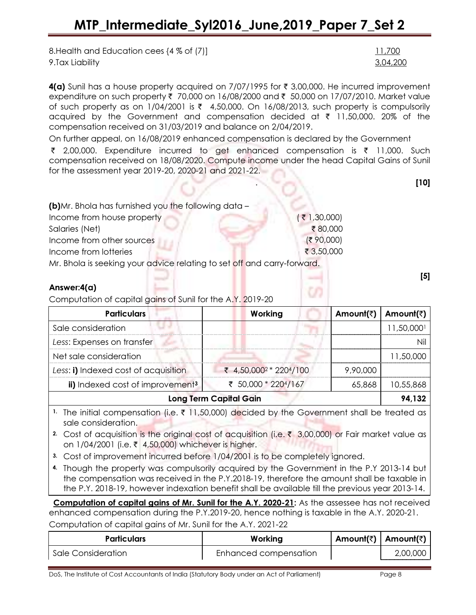8. Health and Education cees {4 % of (7)] 11,700 9.Tax Liability 3,04,200

4(a) Sunil has a house property acquired on 7/07/1995 for  $\bar{\tau}$  3,00,000. He incurred improvement expenditure on such property ₹ 70,000 on 16/08/2000 and ₹ 50,000 on 17/07/2010. Market value of such property as on  $1/04/2001$  is  $\overline{\zeta}$  4,50,000. On 16/08/2013, such property is compulsorily acquired by the Government and compensation decided at  $\bar{\tau}$  11,50,000. 20% of the compensation received on 31/03/2019 and balance on 2/04/2019.

On further appeal, on 16/08/2019 enhanced compensation is declared by the Government  $\bar{\tau}$  2,00,000. Expenditure incurred to get enhanced compensation is  $\bar{\tau}$  11,000. Such compensation received on 18/08/2020. Compute income under the head Capital Gains of Sunil for the assessment year 2019-20, 2020-21 and 2021-22.

| (b)Mr. Bhola has furnished you the following data - |              |  |  |  |
|-----------------------------------------------------|--------------|--|--|--|
| Income from house property                          | (71,30,000)  |  |  |  |
| Salaries (Net)                                      | ₹80,000      |  |  |  |
| Income from other sources                           | (3, 90, 000) |  |  |  |
| Income from lotteries                               | ₹ 3,50,000   |  |  |  |
|                                                     |              |  |  |  |

Mr. Bhola is seeking your advice relating to set off and carry-forward.

## Answer:4(a)

Computation of capital gains of Sunil for the A.Y. 2019-20

| <b>Particulars</b>                           | Working                            | Amount(₹) | Amount(₹) |  |
|----------------------------------------------|------------------------------------|-----------|-----------|--|
| Sale consideration                           |                                    |           | 11,50,000 |  |
| Less: Expenses on transfer                   |                                    |           |           |  |
| Net sale consideration                       |                                    |           | 11,50,000 |  |
| Less: i) Indexed cost of acquisition         | ₹ 4,50,000 <sup>2</sup> * 2204/100 | 9,90,000  |           |  |
| ii) Indexed cost of improvement <sup>3</sup> | ₹ 50,000 * 2204/167                | 65,868    | 10,55,868 |  |
| <b>Long Term Capital Gain</b>                |                                    |           |           |  |

1. The initial compensation (i.e.  $\bar{\tau}$  11,50,000) decided by the Government shall be treated as sale consideration.

- 2. Cost of acquisition is the original cost of acquisition (i.e.  $\bar{\tau}$  3,00,000) or Fair market value as on 1/04/2001 (i.e. ₹ 4,50,000) whichever is higher.
- 3. Cost of improvement incurred before 1/04/2001 is to be completely ignored.
- 4. Though the property was compulsorily acquired by the Government in the P.Y 2013-14 but the compensation was received in the P.Y.2018-19, therefore the amount shall be taxable in the P.Y. 2018-19, however indexation benefit shall be available till the previous year 2013-14.

Computation of capital gains of Mr. Sunil for the A.Y. 2020-21: As the assessee has not received enhanced compensation during the P.Y.2019-20, hence nothing is taxable in the A.Y. 2020-21. Computation of capital gains of Mr. Sunil for the A.Y. 2021-22

| <b>Particulars</b> | Working               | Amount(₹)   Amount(₹) |          |
|--------------------|-----------------------|-----------------------|----------|
| Sale Consideration | Enhanced compensation |                       | 2,00,000 |

DoS, The Institute of Cost Accountants of India (Statutory Body under an Act of Parliament) Page 8

[5]

. [10] **. [10]** . [10] . [10] . [10] . [10] . [10] . [10] . [10] . [10] . [10] . [10] . [10] . [10] . [10] . [10] . [10] . [10] . [10] . [10] . [10] . [10] . [10] . [10] . [10] . [10] . [10] . [10] . [10] . [10] . [10] . [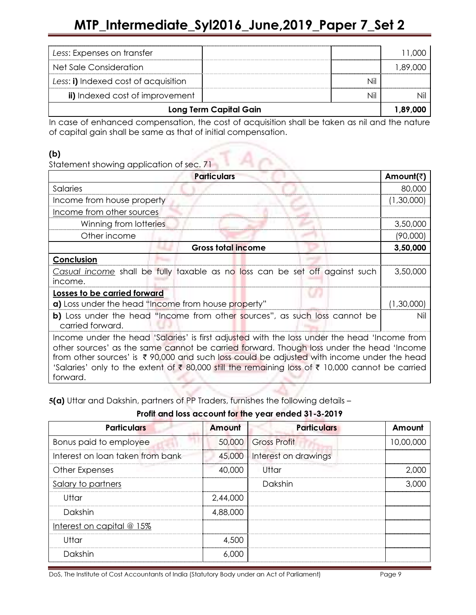| Less: Expenses on transfer           |                               |            |
|--------------------------------------|-------------------------------|------------|
| Net Sale Consideration               |                               | 000. 89. ا |
| Less: i) Indexed cost of acquisition |                               |            |
| ii) Indexed cost of improvement      |                               |            |
|                                      | <b>Long Term Capital Gain</b> | 1.89.000   |

In case of enhanced compensation, the cost of acquisition shall be taken as nil and the nature of capital gain shall be same as that of initial compensation.

# (b)

Statement showing application of sec. 71

| Salaries<br>Income from house property<br>Income from other sources<br>Winning from lotteries<br>Other income<br><b>Gross total income</b>                                                                                                                                                                                                                                                            | 80,000     |
|-------------------------------------------------------------------------------------------------------------------------------------------------------------------------------------------------------------------------------------------------------------------------------------------------------------------------------------------------------------------------------------------------------|------------|
|                                                                                                                                                                                                                                                                                                                                                                                                       |            |
|                                                                                                                                                                                                                                                                                                                                                                                                       | (1,30,000) |
|                                                                                                                                                                                                                                                                                                                                                                                                       |            |
|                                                                                                                                                                                                                                                                                                                                                                                                       | 3,50,000   |
|                                                                                                                                                                                                                                                                                                                                                                                                       | (90,000)   |
|                                                                                                                                                                                                                                                                                                                                                                                                       | 3,50,000   |
| Conclusion                                                                                                                                                                                                                                                                                                                                                                                            |            |
| Casual income shall be fully taxable as no loss can be set off against such                                                                                                                                                                                                                                                                                                                           | 3,50,000   |
| income.                                                                                                                                                                                                                                                                                                                                                                                               |            |
| Losses to be carried forward                                                                                                                                                                                                                                                                                                                                                                          |            |
| a) Loss under the head "Income from house property"                                                                                                                                                                                                                                                                                                                                                   | (1,30,000) |
| b) Loss under the head "Income from other sources", as such loss cannot be<br>carried forward.                                                                                                                                                                                                                                                                                                        | Nil        |
| Income under the head 'Salaries' is first adjusted with the loss under the head 'Income from<br>other sources' as the same cannot be carried forward. Though loss under the head 'Income<br>from other sources' is ₹90,000 and such loss could be adjusted with income under the head<br>'Salaries' only to the extent of ₹ 80,000 still the remaining loss of ₹ 10,000 cannot be carried<br>forward. |            |

5(a) Uttar and Dakshin, partners of PP Traders, furnishes the following details –

Profit and loss account for the year ended 31-3-2019

| <b>Particulars</b>               | Amount   | <b>Particulars</b>            | Amount    |
|----------------------------------|----------|-------------------------------|-----------|
| Bonus paid to employee           |          | 50,000 Gross Profit           | 10,00,000 |
| Interest on loan taken from bank |          | 45,000   Interest on drawings |           |
| Other Expenses                   | 40,000   | - Uttar                       | 2 NOC     |
| Salary to partners               |          | Dakshin                       | 3.000     |
| Uttar                            | 2,44,000 |                               |           |
| Dakshin                          | 4,88,000 |                               |           |
| Interest on capital $@15%$       |          |                               |           |
| Uttar                            | 4,500    |                               |           |
| Dakshin                          | 6,000    |                               |           |

DoS, The Institute of Cost Accountants of India (Statutory Body under an Act of Parliament) Page 9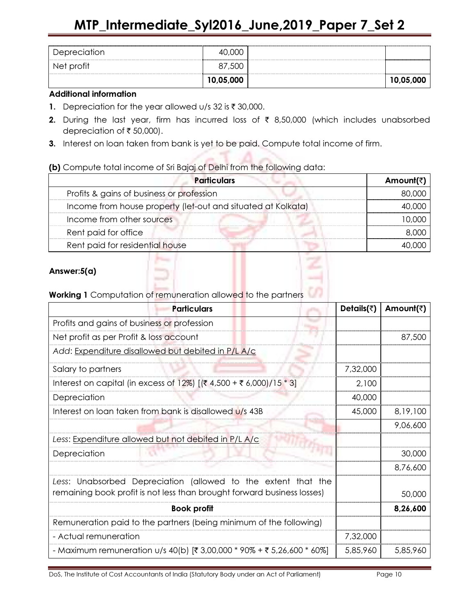| Depreciation | 40,000    |           |
|--------------|-----------|-----------|
| Net profit   | 87,500    |           |
|              | 10,05,000 | 10,05,000 |

### Additional information

- 1. Depreciation for the year allowed  $u/s$  32 is  $\bar{\tau}$  30,000.
- 2. During the last year, firm has incurred loss of  $\bar{\tau}$  8,50,000 (which includes unabsorbed depreciation of  $\bar{\tau}$  50,000).
- 3. Interest on loan taken from bank is yet to be paid. Compute total income of firm.

(b) Compute total income of Sri Bajaj of Delhi from the following data:

| <b>Particulars</b>                                           | Amount(₹) |
|--------------------------------------------------------------|-----------|
| Profits & gains of business or profession                    | 80.000    |
| Income from house property (let-out and situated at Kolkata) | . nnr     |
| Income from other sources                                    |           |
| Rent paid for office                                         |           |
| Rent paid for residential house                              |           |

# Answer:5(a)



# Working 1 Computation of remuneration allowed to the partners

| <b>Particulars</b>                                                                                                                       | Details( $\bar{z}$ ) | Amount(₹) |
|------------------------------------------------------------------------------------------------------------------------------------------|----------------------|-----------|
| Profits and gains of business or profession                                                                                              |                      |           |
| Net profit as per Profit & loss account                                                                                                  |                      | 87,500    |
| Add: Expenditure disallowed but debited in P/L A/c                                                                                       |                      |           |
| Salary to partners                                                                                                                       | 7,32,000             |           |
| Interest on capital (in excess of 12%) [(₹ 4,500 + ₹ 6,000)/15 * 3]                                                                      | 2,100                |           |
| Depreciation                                                                                                                             | 40,000               |           |
| Interest on loan taken from bank is disallowed U/s 43B                                                                                   | 45,000               | 8,19,100  |
|                                                                                                                                          |                      | 9,06,600  |
| Less: Expenditure allowed but not debited in P/L A/c                                                                                     |                      |           |
| Depreciation                                                                                                                             |                      | 30,000    |
|                                                                                                                                          |                      | 8,76,600  |
| Less: Unabsorbed Depreciation (allowed to the extent that the<br>remaining book profit is not less than brought forward business losses) |                      | 50,000    |
| <b>Book profit</b>                                                                                                                       |                      | 8,26,600  |
| Remuneration paid to the partners (being minimum of the following)                                                                       |                      |           |
| - Actual remuneration                                                                                                                    | 7,32,000             |           |
| - Maximum remuneration u/s 40(b) [₹ 3,00,000 * 90% + ₹ 5,26,600 * 60%]                                                                   | 5,85,960             | 5,85,960  |

DoS, The Institute of Cost Accountants of India (Statutory Body under an Act of Parliament) Page 10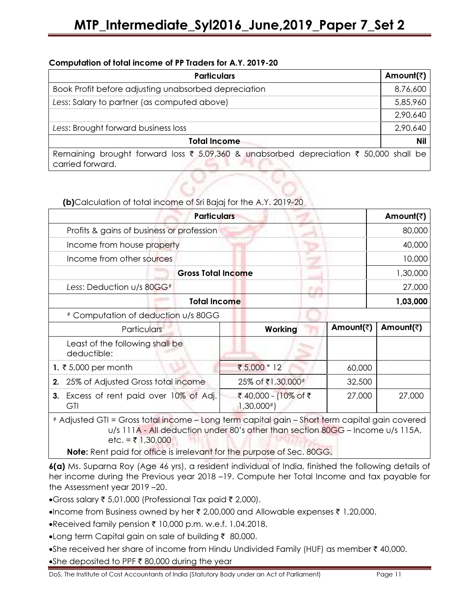## Computation of total income of PP Traders for A.Y. 2019-20

| <b>Particulars</b>                                                                                        | Amount(₹) |
|-----------------------------------------------------------------------------------------------------------|-----------|
| Book Profit before adjusting unabsorbed depreciation                                                      | 8,76,600  |
| Less: Salary to partner (as computed above)                                                               | 5,85,960  |
|                                                                                                           | 2,90,640  |
| Less: Brought forward business loss                                                                       | 2,90,640  |
| <b>Total Income</b>                                                                                       | Nil       |
| Remaining brought forward loss ₹ 5,09,360 & unabsorbed depreciation ₹ 50,000 shall be<br>carried forward. |           |

(b)Calculation of total income of Sri Bajaj for the A.Y. 2019-20

| <b>Particulars</b>                             |         |           | Amount(₹) |
|------------------------------------------------|---------|-----------|-----------|
| Profits & gains of business or profession      |         |           | 80,000    |
| Income from house property                     |         |           | 40.000    |
| Income from other sources                      |         |           | 10.000    |
| <b>Gross Total Income</b>                      |         |           | 1.30.000  |
| Less: Deduction $U/s$ 80GG#                    |         |           | 27,000    |
| <b>Total Income</b>                            |         |           | 1,03,000  |
| # Computation of deduction u/s 80GG            |         |           |           |
| <b>Particulars</b>                             | Working | Amount(₹) | Amount(₹) |
| Least of the following shall be<br>deductible: |         |           |           |

| 1. ₹5,000 per month |                                                | ₹ $5,000 * 12$                     | 60.000  |        |
|---------------------|------------------------------------------------|------------------------------------|---------|--------|
|                     | 2. 25% of Adjusted Gross total income          | 25% of ₹1,30,000#                  | 32.500  |        |
|                     | <b>3.</b> Excess of rent paid over 10% of Adj. | ₹ 40,000 - (10% of ₹<br>1,30,000#] | -27.000 | 27,000 |

# Adjusted GTI = Gross total income – Long term capital gain – Short term capital gain covered u/s 111A - All deduction under 80's other than section 80GG – Income u/s 115A, etc. =  $\bar{z}$  1,30,000

Note: Rent paid for office is irrelevant for the purpose of Sec. 80GG.

6(a) Ms. Suparna Roy (Age 46 yrs), a resident individual of India, finished the following details of her income during the Previous year 2018 –19. Compute her Total Income and tax payable for the Assessment year 2019 –20.

•Gross salary  $\bar{\tau}$  5,01,000 (Professional Tax paid  $\bar{\tau}$  2,000).

- •Income from Business owned by her  $\bar{\tau}$  2,00,000 and Allowable expenses  $\bar{\tau}$  1,20,000.
- $\bullet$  Received family pension  $\bar{\tau}$  10,000 p.m. w.e.f. 1.04.2018.
- •Long term Capital gain on sale of building  $\bar{\tau}$  80,000.
- •She received her share of income from Hindu Undivided Family (HUF) as member  $\bar{\tau}$  40,000.

•She deposited to PPF  $\bar{\tau}$  80,000 during the year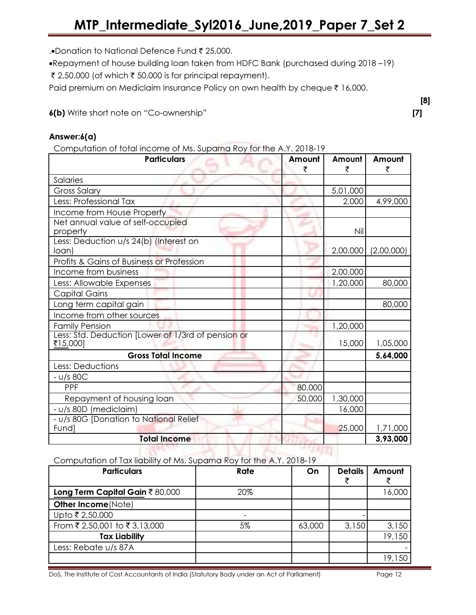.•Donation to National Defence Fund ₹ 25,000.

•Repayment of house building loan taken from HDFC Bank (purchased during 2018 –19)

₹ 2,50,000 (of which  $\bar{\tau}$  50,000 is for principal repayment).

Paid premium on Mediclaim Insurance Policy on own health by cheque  $\bar{\tau}$  16,000.

6(b) Write short note on "Co-ownership" [7]

## Answer:6(a)

Computation of total income of Ms. Suparna Roy for the A.Y. 2018-19

| pomporanon or roral incomic or mp. copania koy for mo html. Editory<br><b>Particulars</b> | Amount<br>₹ | Amount<br>₹ | Amount<br>₹ |
|-------------------------------------------------------------------------------------------|-------------|-------------|-------------|
| Salaries                                                                                  |             |             |             |
| <b>Gross Salary</b>                                                                       |             | 5,01,000    |             |
| Less: Professional Tax                                                                    |             | 2,000       | 4,99,000    |
| Income from House Property                                                                |             |             |             |
| Net annual value of self-occupied<br>property                                             |             | Nil         |             |
| Less: Deduction u/s 24(b) (Interest on<br>loan)                                           |             | 2,00,000    | (2,00,000)  |
| Profits & Gains of Business or Profession                                                 |             |             |             |
| Income from business                                                                      |             | 2,00,000    |             |
| Less: Allowable Expenses                                                                  |             | 1,20,000    | 80,000      |
| Capital Gains                                                                             |             |             |             |
| Long term capital gain                                                                    |             |             | 80,000      |
| Income from other sources                                                                 |             |             |             |
| <b>Family Pension</b>                                                                     |             | 1,20,000    |             |
| Less: Std. Deduction [Lower of 1/3rd of pension or<br>₹15,000]                            |             | 15,000      | 1,05,000    |
| <b>Gross Total Income</b>                                                                 |             |             | 5,64,000    |
| Less: Deductions                                                                          |             |             |             |
| $- U/s$ 80C                                                                               |             |             |             |
| PPF                                                                                       | 80,000      |             |             |
| Repayment of housing loan                                                                 | 50,000      | 1,30,000    |             |
| - u/s 80D (mediclaim)                                                                     |             | 16,000      |             |
| - U/s 80G [Donation to National Relief<br>Fund]                                           |             | 25,000      | 1,71,000    |
| <b>Total Income</b>                                                                       |             |             | 3,93,000    |

Computation of Tax liability of Ms. Suparna Roy for the A.Y. 2018-19

| <b>Particulars</b>             | Rate | On     | <b>Details</b> | Amount |
|--------------------------------|------|--------|----------------|--------|
| Long Term Capital Gain ₹80,000 | 20%  |        |                | 16,000 |
| Other Income (Note)            |      |        |                |        |
| Upto ₹ 2,50,000                |      |        |                |        |
| From ₹ 2,50,001 to ₹ 3,13,000  | 5%   | 63,000 | 3,150          | 3,150  |
| <b>Tax Liability</b>           |      |        |                | 19,150 |
| Less: Rebate u/s 87A           |      |        |                |        |
|                                |      |        |                | 19,150 |

DoS, The Institute of Cost Accountants of India (Statutory Body under an Act of Parliament) Page 12

[8]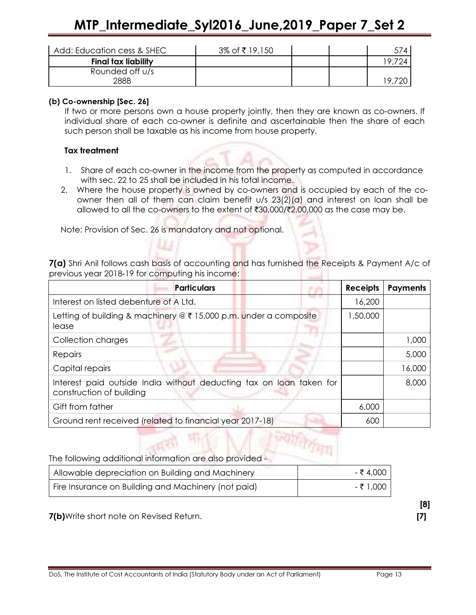# MTP\_Intermediate\_Syl2016\_June,2019\_Paper 7\_Set 2

| Add: Education cess & SHEC | 3% of ₹19,150 |  | 574 |
|----------------------------|---------------|--|-----|
| <b>Final tax liability</b> |               |  |     |
| Rounded off u/s            |               |  |     |
| 288B                       |               |  |     |

### (b) Co-ownership [Sec. 26]

If two or more persons own a house property jointly, then they are known as co-owners. If individual share of each co-owner is definite and ascertainable then the share of each such person shall be taxable as his income from house property.

### Tax treatment

- 1. Share of each co-owner in the income from the property as computed in accordance with sec. 22 to 25 shall be included in his total income.
- 2. Where the house property is owned by co-owners and is occupied by each of the coowner then all of them can claim benefit u/s 23(2)(a) and interest on loan shall be allowed to all the co-owners to the extent of  $\text{\textdegree{30,000}}/\text{\textdegree{2,00,000}}$  as the case may be.

Note: Provision of Sec. 26 is mandatory and not optional.

7(a) Shri Anil follows cash basis of accounting and has furnished the Receipts & Payment A/c of previous year 2018-19 for computing his income:

| <b>Particulars</b>                                                                              | Receipts | <b>Payments</b> |
|-------------------------------------------------------------------------------------------------|----------|-----------------|
| Interest on listed debenture of A Ltd.                                                          | 16,200   |                 |
| Letting of building & machinery $@ \xi 15,000$ p.m. under a composite<br>lease                  | 1,50,000 |                 |
| Collection charges                                                                              |          | LOOC            |
| Repairs                                                                                         |          | 5.000           |
| Capital repairs                                                                                 |          | 16.000          |
| Interest paid outside India without deducting tax on loan taken for<br>construction of building |          | 8,000           |
| Gift from father                                                                                | 6.000    |                 |
| Ground rent received (related to financial year 2017-18)                                        | 600      |                 |

| The following additional information are also provided - |           |  |
|----------------------------------------------------------|-----------|--|
| Allowable depreciation on Building and Machinery         | - ₹ 4.000 |  |
| Fire Insurance on Building and Machinery (not paid)      | - ₹ 1.000 |  |

**CONFIDENTIAL AND STATE** 

7(b)Write short note on Revised Return. [7]

[8]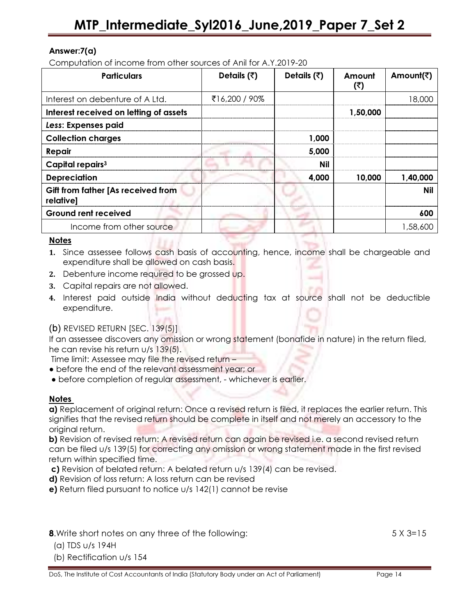## Answer:7(a)

Computation of income from other sources of Anil for A.Y.2019-20

| <b>Particulars</b>                              | Details $(3)$ | Details $(3)$ | Amount<br>(₹) | Amount(₹) |
|-------------------------------------------------|---------------|---------------|---------------|-----------|
| Interest on debenture of A Ltd.                 | ₹16,200 / 90% |               |               | 18,000    |
| Interest received on letting of assets          |               |               | 1,50,000      |           |
| Less: Expenses paid                             |               |               |               |           |
| <b>Collection charges</b>                       |               | 1,000         |               |           |
| Repair                                          |               | 5,000         |               |           |
| Capital repairs <sup>3</sup>                    |               | <b>Nil</b>    |               |           |
| <b>Depreciation</b>                             |               | 4,000         | 10,000        | 1,40,000  |
| Gift from father [As received from<br>relative] |               |               |               | Nil       |
| <b>Ground rent received</b>                     |               |               |               | 600       |
| Income from other source                        |               |               |               | 1,58,600  |

### **Notes**

- 1. Since assessee follows cash basis of accounting, hence, income shall be chargeable and expenditure shall be allowed on cash basis.
- 2. Debenture income required to be grossed up.
- 3. Capital repairs are not allowed.
- 4. Interest paid outside India without deducting tax at source shall not be deductible expenditure.

## $(b)$  REVISED RETURN [SEC.  $139(5)$ ]

If an assessee discovers any omission or wrong statement (bonafide in nature) in the return filed, he can revise his return u/s 139(5).

Time limit: Assessee may file the revised return –

- before the end of the relevant assessment year; or
- before completion of regular assessment, whichever is earlier.

## **Notes**

a) Replacement of original return: Once a revised return is filed, it replaces the earlier return. This signifies that the revised return should be complete in itself and not merely an accessory to the original return.

b) Revision of revised return: A revised return can again be revised i.e. a second revised return can be filed u/s 139(5) for correcting any omission or wrong statement made in the first revised return within specified time.

c) Revision of belated return: A belated return u/s 139(4) can be revised.

- d) Revision of loss return: A loss return can be revised
- e) Return filed pursuant to notice u/s 142(1) cannot be revise

8.Write short notes on any three of the following: 5 X 3=15

- (a) TDS u/s 194H
- (b) Rectification u/s 154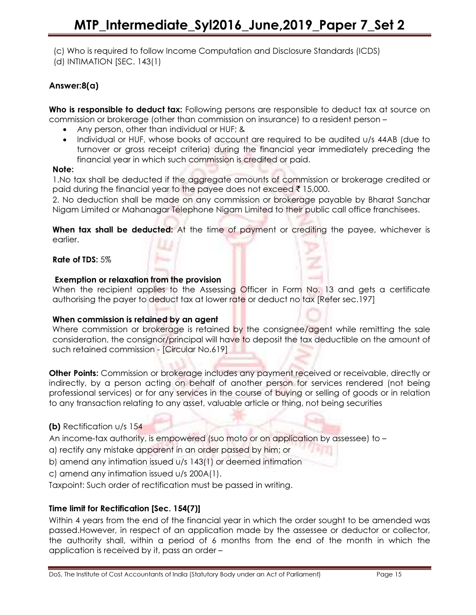(c) Who is required to follow Income Computation and Disclosure Standards (ICDS) (d) INTIMATION [SEC. 143(1)

## Answer:8(a)

Who is responsible to deduct tax: Following persons are responsible to deduct tax at source on commission or brokerage (other than commission on insurance) to a resident person –

- Any person, other than individual or HUF; &
- Individual or HUF, whose books of account are required to be audited u/s 44AB (due to turnover or gross receipt criteria) during the financial year immediately preceding the financial year in which such commission is credited or paid.

### Note:

1.No tax shall be deducted if the aggregate amounts of commission or brokerage credited or paid during the financial year to the payee does not exceed  $\bar{\tau}$  15,000.

2. No deduction shall be made on any commission or brokerage payable by Bharat Sanchar Nigam Limited or Mahanagar Telephone Nigam Limited to their public call office franchisees.

When tax shall be deducted: At the time of payment or crediting the payee, whichever is earlier.

Rate of TDS: 5%

## Exemption or relaxation from the provision

When the recipient applies to the Assessing Officer in Form No. 13 and gets a certificate authorising the payer to deduct tax at lower rate or deduct no tax [Refer sec.197]

## When commission is retained by an agent

Where commission or brokerage is retained by the consignee/agent while remitting the sale consideration, the consignor/principal will have to deposit the tax deductible on the amount of such retained commission - [Circular No.619]

**Other Points:** Commission or brokerage includes any payment received or receivable, directly or indirectly, by a person acting on behalf of another person for services rendered (not being professional services) or for any services in the course of buying or selling of goods or in relation to any transaction relating to any asset, valuable article or thing, not being securities

## (b) Rectification u/s 154

An income-tax authority, is empowered (suo moto or on application by assessee) to –

- a) rectify any mistake apparent in an order passed by him; or
- b) amend any intimation issued u/s 143(1) or deemed intimation

c) amend any intimation issued u/s 200A(1).

Taxpoint: Such order of rectification must be passed in writing.

## Time limit for Rectification [Sec. 154(7)]

Within 4 years from the end of the financial year in which the order sought to be amended was passed.However, in respect of an application made by the assessee or deductor or collector, the authority shall, within a period of 6 months from the end of the month in which the application is received by it, pass an order –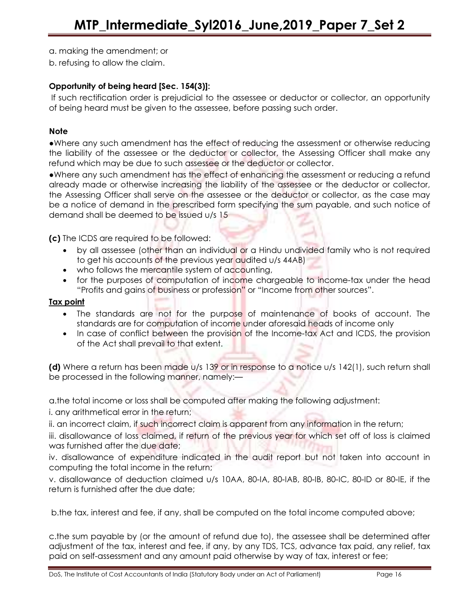a. making the amendment; or

b. refusing to allow the claim.

## Opportunity of being heard [Sec. 154(3)]:

 If such rectification order is prejudicial to the assessee or deductor or collector, an opportunity of being heard must be given to the assessee, before passing such order.

## Note

●Where any such amendment has the effect of reducing the assessment or otherwise reducing the liability of the assessee or the deductor or collector, the Assessing Officer shall make any refund which may be due to such assessee or the deductor or collector.

●Where any such amendment has the effect of enhancing the assessment or reducing a refund already made or otherwise increasing the liability of the assessee or the deductor or collector, the Assessing Officer shall serve on the assessee or the deductor or collector, as the case may be a notice of demand in the prescribed form specifying the sum payable, and such notice of demand shall be deemed to be issued u/s 15

(c) The ICDS are required to be followed:

- by all assessee (other than an individual or a Hindu undivided family who is not required to get his accounts of the previous year audited u/s 44AB)
- who follows the mercantile system of accounting,
- for the purposes of computation of income chargeable to income-tax under the head "Profits and gains of business or profession" or "Income from other sources".

#### Tax point

- The standards are not for the purpose of maintenance of books of account. The standards are for computation of income under aforesaid heads of income only
- In case of conflict between the provision of the Income-tax Act and ICDS, the provision of the Act shall prevail to that extent.

(d) Where a return has been made u/s 139 or in response to a notice u/s 142(1), such return shall be processed in the following manner, namely:—

a.the total income or loss shall be computed after making the following adjustment:

i. any arithmetical error in the return;

ii. an incorrect claim, if such incorrect claim is apparent from any information in the return;

iii. disallowance of loss claimed, if return of the previous year for which set off of loss is claimed was furnished after the due date;

iv. disallowance of expenditure indicated in the audit report but not taken into account in computing the total income in the return;

v. disallowance of deduction claimed u/s 10AA, 80-IA, 80-IAB, 80-IB, 80-IC, 80-ID or 80-IE, if the return is furnished after the due date;

b.the tax, interest and fee, if any, shall be computed on the total income computed above;

c.the sum payable by (or the amount of refund due to), the assessee shall be determined after adjustment of the tax, interest and fee, if any, by any TDS, TCS, advance tax paid, any relief, tax paid on self-assessment and any amount paid otherwise by way of tax, interest or fee;